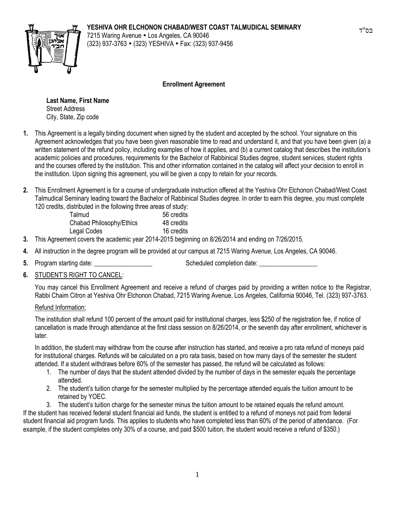## **YESHIVA OHR ELCHONON CHABAD/WEST COAST TALMUDICAL SEMINARY**



7215 Waring Avenue • Los Angeles, CA 90046 (323) 937-3763 (323) YESHIVA Fax: (323) 937-9456

## **Enrollment Agreement**

**Last Name, First Name** Street Address City, State, Zip code

- **1.** This Agreement is a legally binding document when signed by the student and accepted by the school. Your signature on this Agreement acknowledges that you have been given reasonable time to read and understand it, and that you have been given (a) a written statement of the refund policy, including examples of how it applies, and (b) a current catalog that describes the institution's academic policies and procedures, requirements for the Bachelor of Rabbinical Studies degree, student services, student rights and the courses offered by the institution. This and other information contained in the catalog will affect your decision to enroll in the institution. Upon signing this agreement, you will be given a copy to retain for your records.
- **2.** This Enrollment Agreement is for a course of undergraduate instruction offered at the Yeshiva Ohr Elchonon Chabad/West Coast Talmudical Seminary leading toward the Bachelor of Rabbinical Studies degree. In order to earn this degree, you must complete 120 credits, distributed in the following three areas of study:

| Talmud                   | 56 credits |
|--------------------------|------------|
| Chabad Philosophy/Ethics | 48 credits |
| Legal Codes              | 16 credits |
|                          |            |

- **3.** This Agreement covers the academic year 2014-2015 beginning on 8/26/2014 and ending on 7/26/2015.
- **4.** All instruction in the degree program will be provided at our campus at 7215 Waring Avenue, Los Angeles, CA 90046.
- 

**5.** Program starting date:  $\blacksquare$  Scheduled completion date:

**6.** STUDENT'S RIGHT TO CANCEL:

You may cancel this Enrollment Agreement and receive a refund of charges paid by providing a written notice to the Registrar, Rabbi Chaim Citron at Yeshiva Ohr Elchonon Chabad, 7215 Waring Avenue, Los Angeles, California 90046, Tel. (323) 937-3763.

## Refund Information:

The institution shall refund 100 percent of the amount paid for institutional charges, less \$250 of the registration fee, if notice of cancellation is made through attendance at the first class session on 8/26/2014, or the seventh day after enrollment, whichever is later.

In addition, the student may withdraw from the course after instruction has started, and receive a pro rata refund of moneys paid for institutional charges. Refunds will be calculated on a pro rata basis, based on how many days of the semester the student attended. If a student withdraws before 60% of the semester has passed, the refund will be calculated as follows:

- 1. The number of days that the student attended divided by the number of days in the semester equals the percentage attended.
- 2. The student's tuition charge for the semester multiplied by the percentage attended equals the tuition amount to be retained by YOEC.
- 3. The student's tuition charge for the semester minus the tuition amount to be retained equals the refund amount.

If the student has received federal student financial aid funds, the student is entitled to a refund of moneys not paid from federal student financial aid program funds. This applies to students who have completed less than 60% of the period of attendance. (For example, if the student completes only 30% of a course, and paid \$500 tuition, the student would receive a refund of \$350.)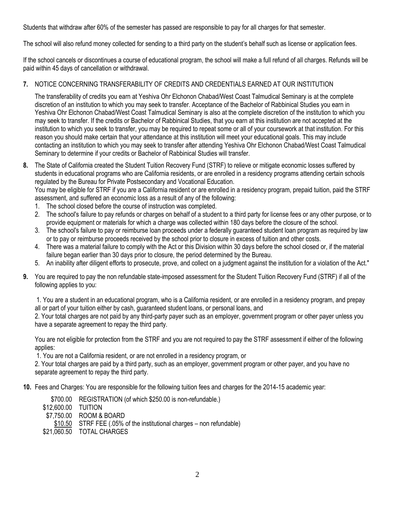Students that withdraw after 60% of the semester has passed are responsible to pay for all charges for that semester.

The school will also refund money collected for sending to a third party on the student's behalf such as license or application fees.

If the school cancels or discontinues a course of educational program, the school will make a full refund of all charges. Refunds will be paid within 45 days of cancellation or withdrawal.

## **7.** NOTICE CONCERNING TRANSFERABILITY OF CREDITS AND CREDENTIALS EARNED AT OUR INSTITUTION

The transferability of credits you earn at Yeshiva Ohr Elchonon Chabad/West Coast Talmudical Seminary is at the complete discretion of an institution to which you may seek to transfer. Acceptance of the Bachelor of Rabbinical Studies you earn in Yeshiva Ohr Elchonon Chabad/West Coast Talmudical Seminary is also at the complete discretion of the institution to which you may seek to transfer. If the credits or Bachelor of Rabbinical Studies, that you earn at this institution are not accepted at the institution to which you seek to transfer, you may be required to repeat some or all of your coursework at that institution. For this reason you should make certain that your attendance at this institution will meet your educational goals. This may include contacting an institution to which you may seek to transfer after attending Yeshiva Ohr Elchonon Chabad/West Coast Talmudical Seminary to determine if your credits or Bachelor of Rabbinical Studies will transfer.

**8.** The State of California created the Student Tuition Recovery Fund (STRF) to relieve or mitigate economic losses suffered by students in educational programs who are California residents, or are enrolled in a residency programs attending certain schools regulated by the Bureau for Private Postsecondary and Vocational Education.

You may be eligible for STRF if you are a California resident or are enrolled in a residency program, prepaid tuition, paid the STRF assessment, and suffered an economic loss as a result of any of the following:

- 1. The school closed before the course of instruction was completed.
- 2. The school's failure to pay refunds or charges on behalf of a student to a third party for license fees or any other purpose, or to provide equipment or materials for which a charge was collected within 180 days before the closure of the school.
- 3. The school's failure to pay or reimburse loan proceeds under a federally guaranteed student loan program as required by law or to pay or reimburse proceeds received by the school prior to closure in excess of tuition and other costs.
- 4. There was a material failure to comply with the Act or this Division within 30 days before the school closed or, if the material failure began earlier than 30 days prior to closure, the period determined by the Bureau.
- 5. An inability after diligent efforts to prosecute, prove, and collect on a judgment against the institution for a violation of the Act."
- **9.** You are required to pay the non refundable state-imposed assessment for the Student Tuition Recovery Fund (STRF) if all of the following applies to you:

1. You are a student in an educational program, who is a California resident, or are enrolled in a residency program, and prepay all or part of your tuition either by cash, guaranteed student loans, or personal loans, and

2. Your total charges are not paid by any third-party payer such as an employer, government program or other payer unless you have a separate agreement to repay the third party.

You are not eligible for protection from the STRF and you are not required to pay the STRF assessment if either of the following applies:

1. You are not a California resident, or are not enrolled in a residency program, or

2. Your total charges are paid by a third party, such as an employer, government program or other payer, and you have no separate agreement to repay the third party.

**10.** Fees and Charges: You are responsible for the following tuition fees and charges for the 2014-15 academic year:

- \$700.00 REGISTRATION (of which \$250.00 is non-refundable.)
- \$12,600.00 TUITION
- \$7,750.00 ROOM & BOARD
- \$10.50 STRF FEE (.05% of the institutional charges non refundable)
- \$21,060.50 TOTAL CHARGES